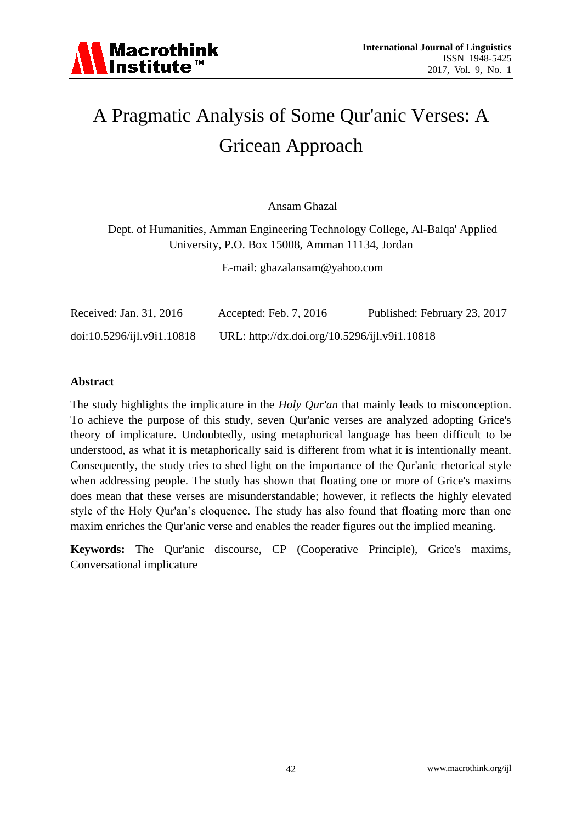

# A Pragmatic Analysis of Some Qur'anic Verses: A Gricean Approach

Ansam Ghazal

Dept. of Humanities, Amman Engineering Technology College, Al-Balqa' Applied University, P.O. Box 15008, Amman 11134, Jordan

E-mail: [ghazalansam@yahoo.com](mailto:ghazalansam@yahoo.com)

| Received: Jan. 31, 2016    | Accepted: Feb. $7, 2016$                      | Published: February 23, 2017 |
|----------------------------|-----------------------------------------------|------------------------------|
| doi:10.5296/ijl.v9i1.10818 | URL: http://dx.doi.org/10.5296/ijl.v9i1.10818 |                              |

#### **Abstract**

The study highlights the implicature in the *Holy Qur'an* that mainly leads to misconception. To achieve the purpose of this study, seven Qur'anic verses are analyzed adopting Grice's theory of implicature. Undoubtedly, using metaphorical language has been difficult to be understood, as what it is metaphorically said is different from what it is intentionally meant. Consequently, the study tries to shed light on the importance of the Qur'anic rhetorical style when addressing people. The study has shown that floating one or more of Grice's maxims does mean that these verses are misunderstandable; however, it reflects the highly elevated style of the Holy Qur'an's eloquence. The study has also found that floating more than one maxim enriches the Qur'anic verse and enables the reader figures out the implied meaning.

**Keywords:** The Qur'anic discourse, CP (Cooperative Principle), Grice's maxims, Conversational implicature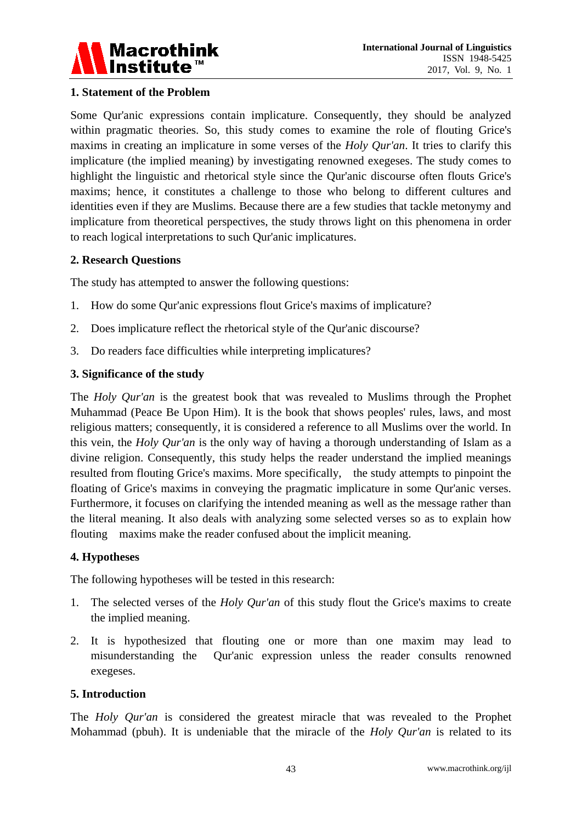

# **1. Statement of the Problem**

Some Qur'anic expressions contain implicature. Consequently, they should be analyzed within pragmatic theories. So, this study comes to examine the role of flouting Grice's maxims in creating an implicature in some verses of the *Holy Qur'an*. It tries to clarify this implicature (the implied meaning) by investigating renowned exegeses. The study comes to highlight the linguistic and rhetorical style since the Qur'anic discourse often flouts Grice's maxims; hence, it constitutes a challenge to those who belong to different cultures and identities even if they are Muslims. Because there are a few studies that tackle metonymy and implicature from theoretical perspectives, the study throws light on this phenomena in order to reach logical interpretations to such Qur'anic implicatures.

#### **2. Research Questions**

The study has attempted to answer the following questions:

- 1. How do some Qur'anic expressions flout Grice's maxims of implicature?
- 2. Does implicature reflect the rhetorical style of the Qur'anic discourse?
- 3. Do readers face difficulties while interpreting implicatures?

# **3. Significance of the study**

The *Holy Qur'an* is the greatest book that was revealed to Muslims through the Prophet Muhammad (Peace Be Upon Him). It is the book that shows peoples' rules, laws, and most religious matters; consequently, it is considered a reference to all Muslims over the world. In this vein, the *Holy Qur'an* is the only way of having a thorough understanding of Islam as a divine religion. Consequently, this study helps the reader understand the implied meanings resulted from flouting Grice's maxims. More specifically, the study attempts to pinpoint the floating of Grice's maxims in conveying the pragmatic implicature in some Qur'anic verses. Furthermore, it focuses on clarifying the intended meaning as well as the message rather than the literal meaning. It also deals with analyzing some selected verses so as to explain how flouting maxims make the reader confused about the implicit meaning.

### **4. Hypotheses**

The following hypotheses will be tested in this research:

- 1. The selected verses of the *Holy Qur'an* of this study flout the Grice's maxims to create the implied meaning.
- 2. It is hypothesized that flouting one or more than one maxim may lead to misunderstanding the Qur'anic expression unless the reader consults renowned exegeses.

#### **5. Introduction**

The *Holy Qur'an* is considered the greatest miracle that was revealed to the Prophet Mohammad (pbuh). It is undeniable that the miracle of the *Holy Qur'an* is related to its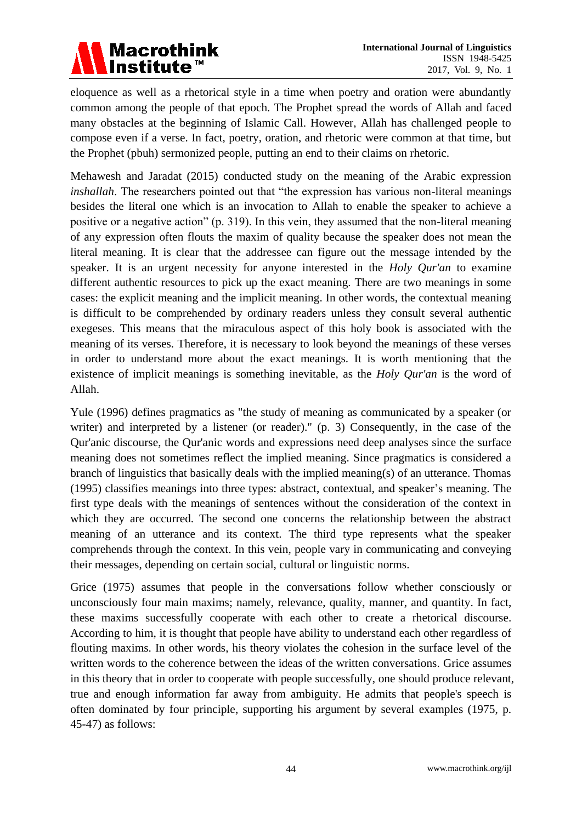

eloquence as well as a rhetorical style in a time when poetry and oration were abundantly common among the people of that epoch. The Prophet spread the words of Allah and faced many obstacles at the beginning of Islamic Call. However, Allah has challenged people to compose even if a verse. In fact, poetry, oration, and rhetoric were common at that time, but the Prophet (pbuh) sermonized people, putting an end to their claims on rhetoric.

Mehawesh and Jaradat (2015) conducted study on the meaning of the Arabic expression *inshallah*. The researchers pointed out that "the expression has various non-literal meanings besides the literal one which is an invocation to Allah to enable the speaker to achieve a positive or a negative action" (p. 319). In this vein, they assumed that the non-literal meaning of any expression often flouts the maxim of quality because the speaker does not mean the literal meaning. It is clear that the addressee can figure out the message intended by the speaker. It is an urgent necessity for anyone interested in the *Holy Qur'an* to examine different authentic resources to pick up the exact meaning. There are two meanings in some cases: the explicit meaning and the implicit meaning. In other words, the contextual meaning is difficult to be comprehended by ordinary readers unless they consult several authentic exegeses. This means that the miraculous aspect of this holy book is associated with the meaning of its verses. Therefore, it is necessary to look beyond the meanings of these verses in order to understand more about the exact meanings. It is worth mentioning that the existence of implicit meanings is something inevitable, as the *Holy Qur'an* is the word of Allah.

Yule (1996) defines pragmatics as "the study of meaning as communicated by a speaker (or writer) and interpreted by a listener (or reader)." (p. 3) Consequently, in the case of the Qur'anic discourse, the Qur'anic words and expressions need deep analyses since the surface meaning does not sometimes reflect the implied meaning. Since pragmatics is considered a branch of linguistics that basically deals with the implied meaning(s) of an utterance. Thomas (1995) classifies meanings into three types: abstract, contextual, and speaker's meaning. The first type deals with the meanings of sentences without the consideration of the context in which they are occurred. The second one concerns the relationship between the abstract meaning of an utterance and its context. The third type represents what the speaker comprehends through the context. In this vein, people vary in communicating and conveying their messages, depending on certain social, cultural or linguistic norms.

Grice (1975) assumes that people in the conversations follow whether consciously or unconsciously four main maxims; namely, relevance, quality, manner, and quantity. In fact, these maxims successfully cooperate with each other to create a rhetorical discourse. According to him, it is thought that people have ability to understand each other regardless of flouting maxims. In other words, his theory violates the cohesion in the surface level of the written words to the coherence between the ideas of the written conversations. Grice assumes in this theory that in order to cooperate with people successfully, one should produce relevant, true and enough information far away from ambiguity. He admits that people's speech is often dominated by four principle, supporting his argument by several examples (1975, p. 45-47) as follows: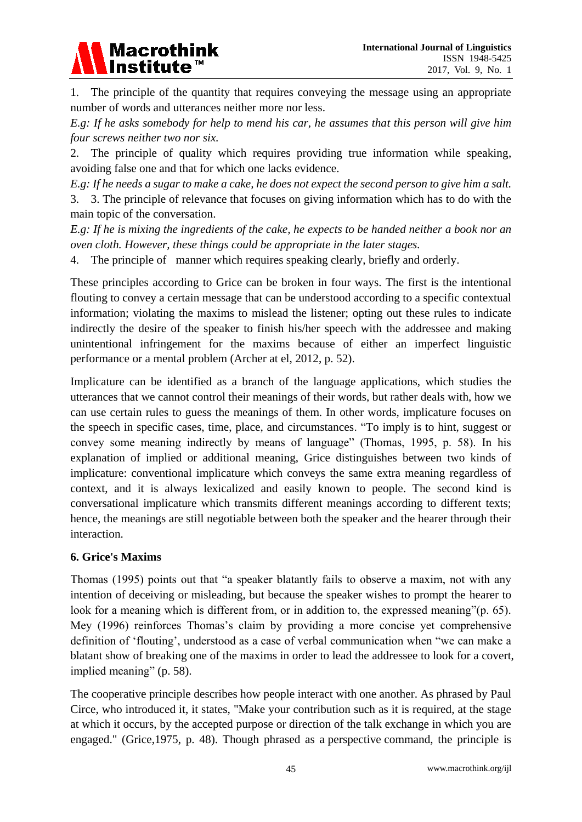

1. The principle of the quantity that requires conveying the message using an appropriate number of words and utterances neither more nor less.

*E.g: If he asks somebody for help to mend his car, he assumes that this person will give him four screws neither two nor six.* 

2. The principle of quality which requires providing true information while speaking, avoiding false one and that for which one lacks evidence.

*E.g: If he needs a sugar to make a cake, he does not expect the second person to give him a salt.*

3. 3. The principle of relevance that focuses on giving information which has to do with the main topic of the conversation.

*E.g: If he is mixing the ingredients of the cake, he expects to be handed neither a book nor an oven cloth. However, these things could be appropriate in the later stages.* 

4. The principle of manner which requires speaking clearly, briefly and orderly.

These principles according to Grice can be broken in four ways. The first is the intentional flouting to convey a certain message that can be understood according to a specific contextual information; violating the maxims to mislead the listener; opting out these rules to indicate indirectly the desire of the speaker to finish his/her speech with the addressee and making unintentional infringement for the maxims because of either an imperfect linguistic performance or a mental problem (Archer at el, 2012, p. 52).

Implicature can be identified as a branch of the language applications, which studies the utterances that we cannot control their meanings of their words, but rather deals with, how we can use certain rules to guess the meanings of them. In other words, implicature focuses on the speech in specific cases, time, place, and circumstances. "To imply is to hint, suggest or convey some meaning indirectly by means of language" (Thomas, 1995, p. 58). In his explanation of implied or additional meaning, Grice distinguishes between two kinds of implicature: conventional implicature which conveys the same extra meaning regardless of context, and it is always lexicalized and easily known to people. The second kind is conversational implicature which transmits different meanings according to different texts; hence, the meanings are still negotiable between both the speaker and the hearer through their interaction.

# **6. Grice's Maxims**

Thomas (1995) points out that "a speaker blatantly fails to observe a maxim, not with any intention of deceiving or misleading, but because the speaker wishes to prompt the hearer to look for a meaning which is different from, or in addition to, the expressed meaning" (p. 65). Mey (1996) reinforces Thomas's claim by providing a more concise yet comprehensive definition of 'flouting', understood as a case of verbal communication when "we can make a blatant show of breaking one of the maxims in order to lead the addressee to look for a covert, implied meaning" (p. 58).

The cooperative principle describes how people interact with one another. As phrased by Paul Circe, who introduced it, it states, "Make your contribution such as it is required, at the stage at which it occurs, by the accepted purpose or direction of the talk exchange in which you are engaged." (Grice,1975, p. 48). Though phrased as a perspective command, the principle is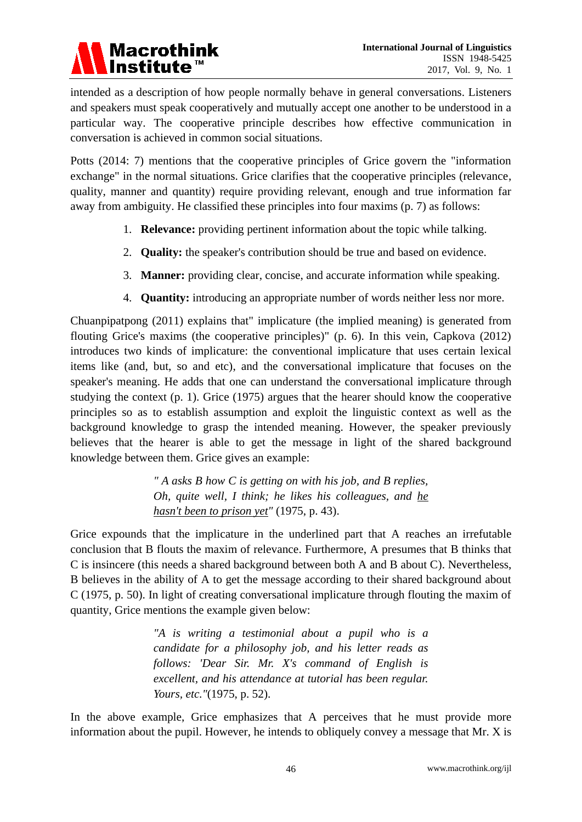

intended as a description of how people normally behave in general conversations. Listeners and speakers must speak cooperatively and mutually accept one another to be understood in a particular way. The cooperative principle describes how effective communication in conversation is achieved in common social situations.

Potts (2014: 7) mentions that the cooperative principles of Grice govern the "information exchange" in the normal situations. Grice clarifies that the cooperative principles (relevance, quality, manner and quantity) require providing relevant, enough and true information far away from ambiguity. He classified these principles into four maxims (p. 7) as follows:

- 1. **Relevance:** providing pertinent information about the topic while talking.
- 2. **Quality:** the speaker's contribution should be true and based on evidence.
- 3. **Manner:** providing clear, concise, and accurate information while speaking.
- 4. **Quantity:** introducing an appropriate number of words neither less nor more.

Chuanpipatpong (2011) explains that" implicature (the implied meaning) is generated from flouting Grice's maxims (the cooperative principles)" (p. 6). In this vein, Capkova (2012) introduces two kinds of implicature: the conventional implicature that uses certain lexical items like (and, but, so and etc), and the conversational implicature that focuses on the speaker's meaning. He adds that one can understand the conversational implicature through studying the context (p. 1). Grice (1975) argues that the hearer should know the cooperative principles so as to establish assumption and exploit the linguistic context as well as the background knowledge to grasp the intended meaning. However, the speaker previously believes that the hearer is able to get the message in light of the shared background knowledge between them. Grice gives an example:

> *" A asks B how C is getting on with his job, and B replies, Oh, quite well, I think; he likes his colleagues, and he hasn't been to prison yet"* (1975, p. 43).

Grice expounds that the implicature in the underlined part that A reaches an irrefutable conclusion that B flouts the maxim of relevance. Furthermore, A presumes that B thinks that C is insincere (this needs a shared background between both A and B about C). Nevertheless, B believes in the ability of A to get the message according to their shared background about C (1975, p. 50). In light of creating conversational implicature through flouting the maxim of quantity, Grice mentions the example given below:

> *"A is writing a testimonial about a pupil who is a candidate for a philosophy job, and his letter reads as follows: 'Dear Sir. Mr. X's command of English is excellent, and his attendance at tutorial has been regular. Yours, etc."*(1975, p. 52).

In the above example, Grice emphasizes that A perceives that he must provide more information about the pupil. However, he intends to obliquely convey a message that Mr. X is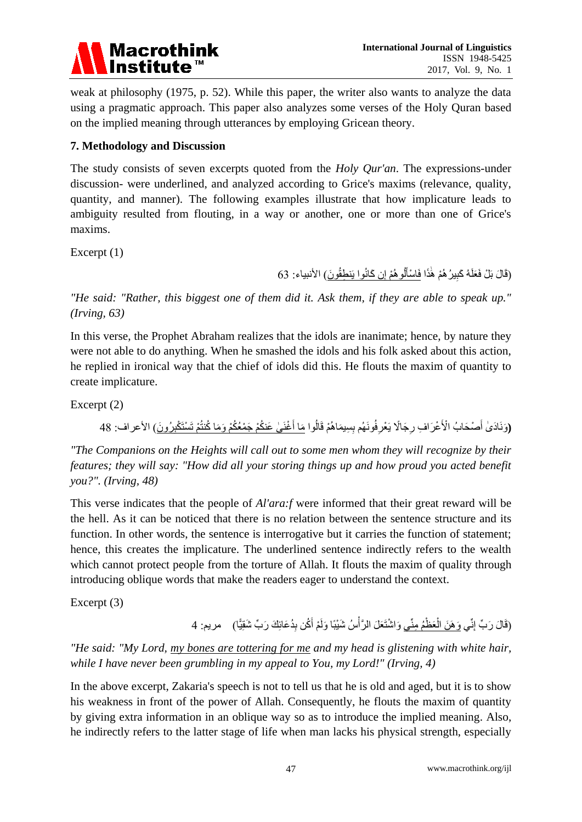

weak at philosophy (1975, p. 52). While this paper, the writer also wants to analyze the data using a pragmatic approach. This paper also analyzes some verses of the Holy Quran based on the implied meaning through utterances by employing Gricean theory.

# **7. Methodology and Discussion**

The study consists of seven excerpts quoted from the *Holy Qur'an*. The expressions-under discussion- were underlined, and analyzed according to Grice's maxims (relevance, quality, quantity, and manner). The following examples illustrate that how implicature leads to ambiguity resulted from flouting, in a way or another, one or more than one of Grice's maxims.

Excerpt (1)

(قَالَ بَلْ فَعَلَهُ كَبِيرُ هُمْ هَٰذَا <u>فَاسْأَلُو هُمْ إِن كَانُوا يَنطِقُونَ</u>) الأنبياء: 63 َ َٰ **∣** 

*"He said: "Rather, this biggest one of them did it. Ask them, if they are able to speak up." (Irving, 63)*

In this verse, the Prophet Abraham realizes that the idols are inanimate; hence, by nature they were not able to do anything. When he smashed the idols and his folk asked about this action, he replied in ironical way that the chief of idols did this. He flouts the maxim of quantity to create implicature.

Excerpt (2)

(وَنَادَىٰ أَصْحَابُ الْأَعْرَافِ رِجَالًا يَعْرِفُونَهُم بِسِيمَاهُمْ قَالُوا <u>مَا أَغْنَىٰ عَنكُمْ جَمْعُكُمْ وَمَا كُنتُمْ تَسْتَكْبِرُونَ</u>) الأعراف: 48 ِ َ

*"The Companions on the Heights will call out to some men whom they will recognize by their features; they will say: "How did all your storing things up and how proud you acted benefit you?". (Irving, 48)*

This verse indicates that the people of *Al'ara:f* were informed that their great reward will be the hell. As it can be noticed that there is no relation between the sentence structure and its function. In other words, the sentence is interrogative but it carries the function of statement; hence, this creates the implicature. The underlined sentence indirectly refers to the wealth which cannot protect people from the torture of Allah. It flouts the maxim of quality through introducing oblique words that make the readers eager to understand the context.

Excerpt (3)

(قَالَ رَبِّ إِنِّي <u>وَ هَنَ الْعَظْمُ مِنِّ</u>ي وَاشْنَعَلَ الرَّأْسُ شَيْبًا وَلَمْ أَكُن بِدُعَائِكَ رَبِّ شَقِيًّا) مريم: 4 **ِ** َ **ٔ** ْ

*"He said: "My Lord, my bones are tottering for me and my head is glistening with white hair, while I have never been grumbling in my appeal to You, my Lord!" (Irving, 4)*

In the above excerpt, Zakaria's speech is not to tell us that he is old and aged, but it is to show his weakness in front of the power of Allah. Consequently, he flouts the maxim of quantity by giving extra information in an oblique way so as to introduce the implied meaning. Also, he indirectly refers to the latter stage of life when man lacks his physical strength, especially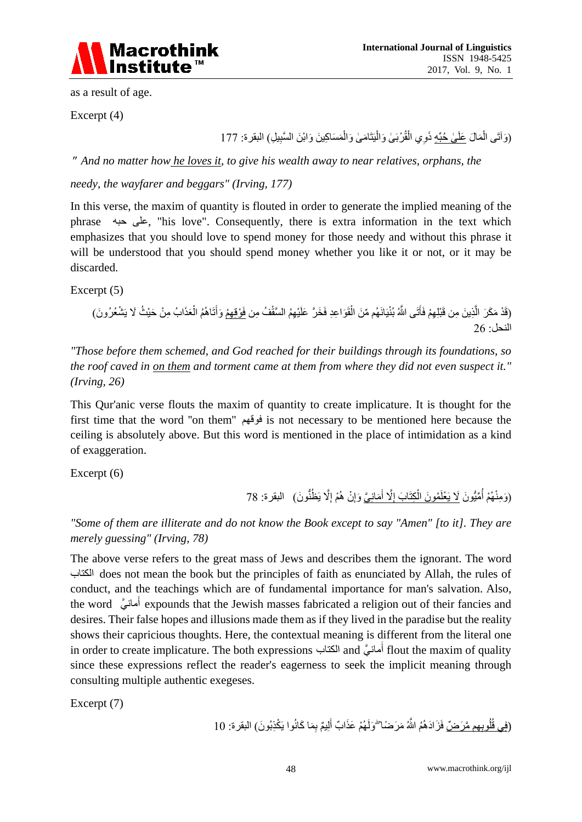

as a result of age.

Excerpt (4)

(وَآتَى الْمَالَ <u>عَلَىٰ حُبِّه</u>ِ ذَوِي الْقُرْبَىٰ وَالْيَتَامَىٰ وَالْمَسَاكِينَ وَابْنَ السَّبِيلِ) البقرة: 177 **∣** ْ ْ ْ ْ

" *And no matter how he loves it, to give his wealth away to near relatives, orphans, the* 

*needy, the wayfarer and beggars" (Irving, 177)* 

In this verse, the maxim of quantity is flouted in order to generate the implied meaning of the phrase حبه على," his love". Consequently, there is extra information in the text which emphasizes that you should love to spend money for those needy and without this phrase it will be understood that you should spend money whether you like it or not, or it may be discarded.

Excerpt (5)

(قَدْ مَكَرَ الَّذِينَ مِن قَبْلِهِمْ فَأَتَى اللَّهُ بُنْيَانَهُم مِّنَ الْقَوَاعِدِ فَخَرَّ عَلَيْهِمُ السَّقْفُ مِن <u>فَوْقِهِمْ</u> وَأَنَاهُمُ الْعَذَابُ مِنْ حَيْثُ لَا يَشْعُرُونَ) ْ َ ْ َ َّ  $26 \cdot d$ 

*"Those before them schemed, and God reached for their buildings through its foundations, so the roof caved in on them and torment came at them from where they did not even suspect it." (Irving, 26)*

This Qur'anic verse flouts the maxim of quantity to create implicature. It is thought for the first time that the word ''on them'' فوقهم is not necessary to be mentioned here because the ceiling is absolutely above. But this word is mentioned in the place of intimidation as a kind of exaggeration.

Excerpt (6)

(وَمِنْهُمْ أُمِّيُّونَ <u>لَا يَعْلَمُونَ الْكِتَابَ إِلَّا أَمَانِيَّ</u> وَإِنْ هُمْ إِلَّا يَظُنُّونَ) البقرة: 78 ا<br>ا َ ِ ْ ِ ِ

*"Some of them are illiterate and do not know the Book except to say "Amen" [to it]. They are merely guessing" (Irving, 78)*

The above verse refers to the great mass of Jews and describes them the ignorant. The word الكتاب does not mean the book but the principles of faith as enunciated by Allah, the rules of conduct, and the teachings which are of fundamental importance for man's salvation. Also, the word أمانيَّ expounds that the Jewish masses fabricated a religion out of their fancies and َ desires. Their false hopes and illusions made them as if they lived in the paradise but the reality shows their capricious thoughts. Here, the contextual meaning is different from the literal one in order to create implicature. The both expressions المكتاب and أمانيَّ and المكتاب in order to create implicature. The both expressions َ since these expressions reflect the reader's eagerness to seek the implicit meaning through consulting multiple authentic exegeses.

Excerpt (7)

(<u>فِي قُلُوبِهِم مَّرَضٌ</u> فَزَادَهُمُ الثَّهُ مَرَضَا ۖوَلَهُمْ عَذَابٌ أَلِيمٌ بِمَا كَانُوا يَكْذِبُونَ) البقرة: 10 َ

48 www.macrothink.org/ijl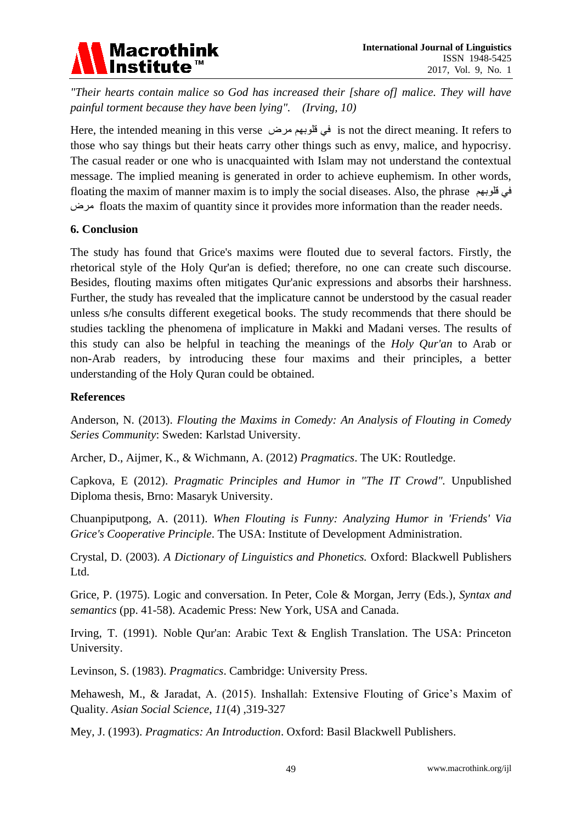

*"Their hearts contain malice so God has increased their [share of] malice. They will have painful torment because they have been lying". (Irving, 10)*

Here, the intended meaning in this verse مرض قلوبهم في is not the direct meaning. It refers to those who say things but their heats carry other things such as envy, malice, and hypocrisy. The casual reader or one who is unacquainted with Islam may not understand the contextual message. The implied meaning is generated in order to achieve euphemism. In other words, floating the maxim of manner maxim is to imply the social diseases. Also, the phrase قلوبهم في مرض floats the maxim of quantity since it provides more information than the reader needs.

# **6. Conclusion**

The study has found that Grice's maxims were flouted due to several factors. Firstly, the rhetorical style of the Holy Qur'an is defied; therefore, no one can create such discourse. Besides, flouting maxims often mitigates Qur'anic expressions and absorbs their harshness. Further, the study has revealed that the implicature cannot be understood by the casual reader unless s/he consults different exegetical books. The study recommends that there should be studies tackling the phenomena of implicature in Makki and Madani verses. The results of this study can also be helpful in teaching the meanings of the *Holy Qur'an* to Arab or non-Arab readers, by introducing these four maxims and their principles, a better understanding of the Holy Quran could be obtained.

# **References**

Anderson, N. (2013). *Flouting the Maxims in Comedy: An Analysis of Flouting in Comedy Series Community*: Sweden: Karlstad University.

Archer, D., Aijmer, K., & Wichmann, A. (2012) *Pragmatics*. The UK: Routledge.

Capkova, E (2012). *Pragmatic Principles and Humor in "The IT Crowd".* Unpublished Diploma thesis, Brno: Masaryk University.

Chuanpiputpong, A. (2011). *When Flouting is Funny: Analyzing Humor in 'Friends' Via Grice's Cooperative Principle*. The USA: Institute of Development Administration.

Crystal, D. (2003). *A Dictionary of Linguistics and Phonetics.* Oxford: Blackwell Publishers Ltd.

Grice, P. (1975). Logic and conversation. In Peter, Cole & Morgan, Jerry (Eds.), *Syntax and semantics* (pp. 41-58). Academic Press: New York, USA and Canada.

Irving, T. (1991). Noble Qur'an: Arabic Text & English Translation. The USA: Princeton University.

Levinson, S. (1983). *Pragmatics*. Cambridge: University Press.

Mehawesh, M., & Jaradat, A. (2015). Inshallah: Extensive Flouting of Grice's Maxim of Quality. *Asian Social Science*, *11*(4) ,319-327

Mey, J. (1993). *Pragmatics: An Introduction*. Oxford: Basil Blackwell Publishers.